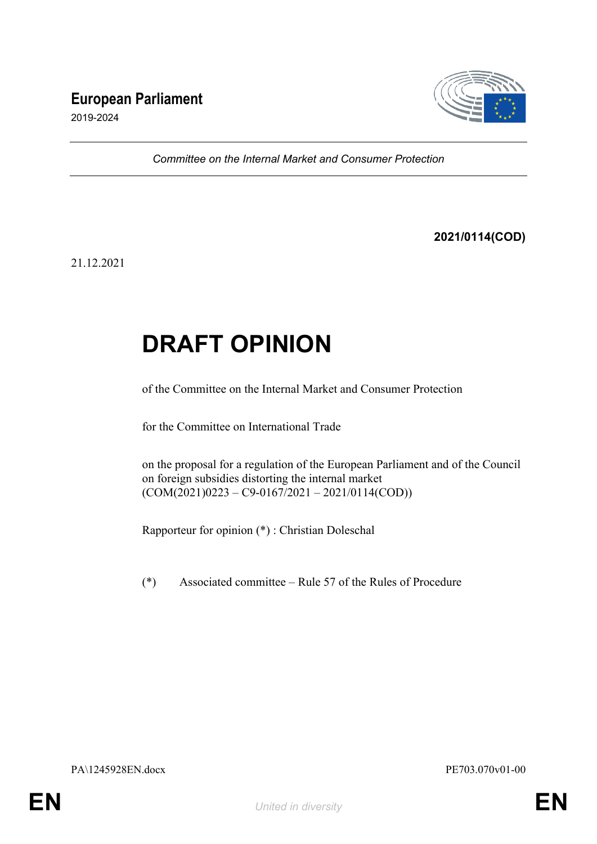## **European Parliament**



2019-2024

*Committee on the Internal Market and Consumer Protection*

**2021/0114(COD)**

21.12.2021

# **DRAFT OPINION**

of the Committee on the Internal Market and Consumer Protection

for the Committee on International Trade

on the proposal for a regulation of the European Parliament and of the Council on foreign subsidies distorting the internal market  $(COM(2021)0223 - C9-0167/2021 - 2021/0114(COD))$ 

Rapporteur for opinion (\*) : Christian Doleschal

(\*) Associated committee – Rule 57 of the Rules of Procedure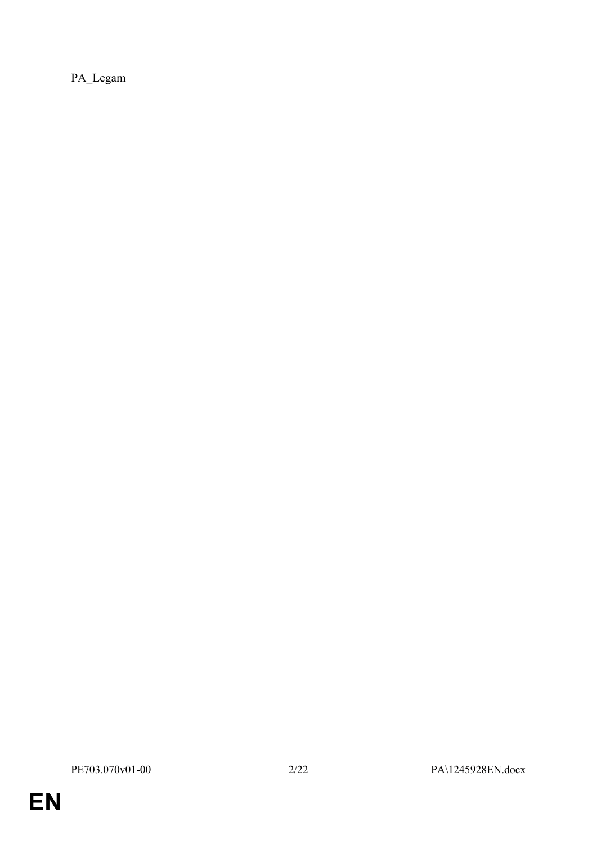PA\_Legam

**EN**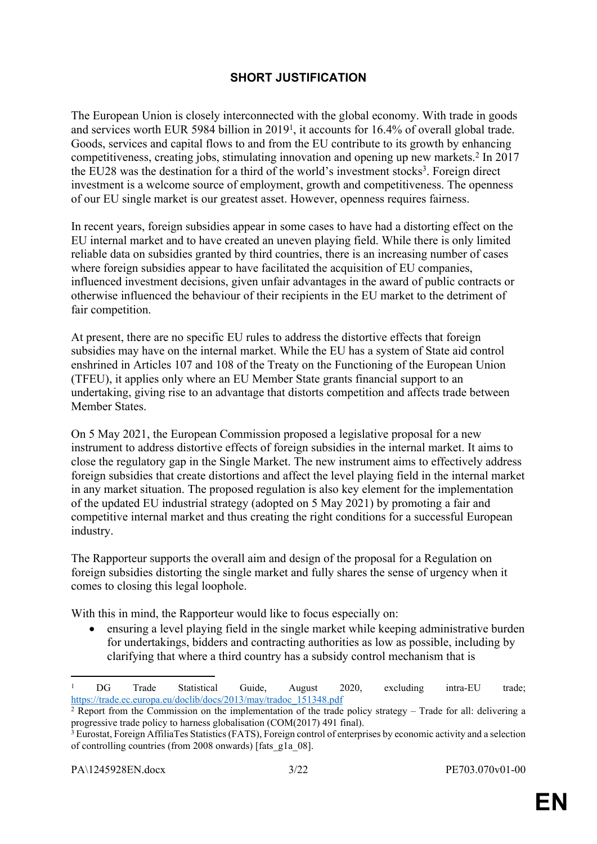### **SHORT JUSTIFICATION**

The European Union is closely interconnected with the global economy. With trade in goods and services worth EUR 5984 billion in 2019<sup>1</sup>, it accounts for 16.4% of overall global trade. Goods, services and capital flows to and from the EU contribute to its growth by enhancing competitiveness, creating jobs, stimulating innovation and opening up new markets.<sup>2</sup> In 2017 the EU28 was the destination for a third of the world's investment stocks<sup>3</sup>. Foreign direct investment is a welcome source of employment, growth and competitiveness. The openness of our EU single market is our greatest asset. However, openness requires fairness.

In recent years, foreign subsidies appear in some cases to have had a distorting effect on the EU internal market and to have created an uneven playing field. While there is only limited reliable data on subsidies granted by third countries, there is an increasing number of cases where foreign subsidies appear to have facilitated the acquisition of EU companies, influenced investment decisions, given unfair advantages in the award of public contracts or otherwise influenced the behaviour of their recipients in the EU market to the detriment of fair competition.

At present, there are no specific EU rules to address the distortive effects that foreign subsidies may have on the internal market. While the EU has a system of State aid control enshrined in Articles 107 and 108 of the Treaty on the Functioning of the European Union (TFEU), it applies only where an EU Member State grants financial support to an undertaking, giving rise to an advantage that distorts competition and affects trade between Member States.

On 5 May 2021, the European Commission proposed a legislative proposal for a new instrument to address distortive effects of foreign subsidies in the internal market. It aims to close the regulatory gap in the Single Market. The new instrument aims to effectively address foreign subsidies that create distortions and affect the level playing field in the internal market in any market situation. The proposed regulation is also key element for the implementation of the updated EU industrial strategy (adopted on 5 May 2021) by promoting a fair and competitive internal market and thus creating the right conditions for a successful European industry.

The Rapporteur supports the overall aim and design of the proposal for a Regulation on foreign subsidies distorting the single market and fully shares the sense of urgency when it comes to closing this legal loophole.

With this in mind, the Rapporteur would like to focus especially on:

 ensuring a level playing field in the single market while keeping administrative burden for undertakings, bidders and contracting authorities as low as possible, including by clarifying that where a third country has a subsidy control mechanism that is

<sup>1</sup> DG Trade Statistical Guide, August 2020, excluding intra-EU trade; [https://trade.ec.europa.eu/doclib/docs/2013/may/tradoc\\_151348.pdf](https://trade.ec.europa.eu/doclib/docs/2013/may/tradoc_151348.pdf)

<sup>&</sup>lt;sup>2</sup> Report from the Commission on the implementation of the trade policy strategy – Trade for all: delivering a progressive trade policy to harness globalisation (COM(2017) 491 final).

<sup>&</sup>lt;sup>3</sup> Eurostat, Foreign AffiliaTes Statistics (FATS), Foreign control of enterprises by economic activity and a selection of controlling countries (from 2008 onwards) [fats\_g1a\_08].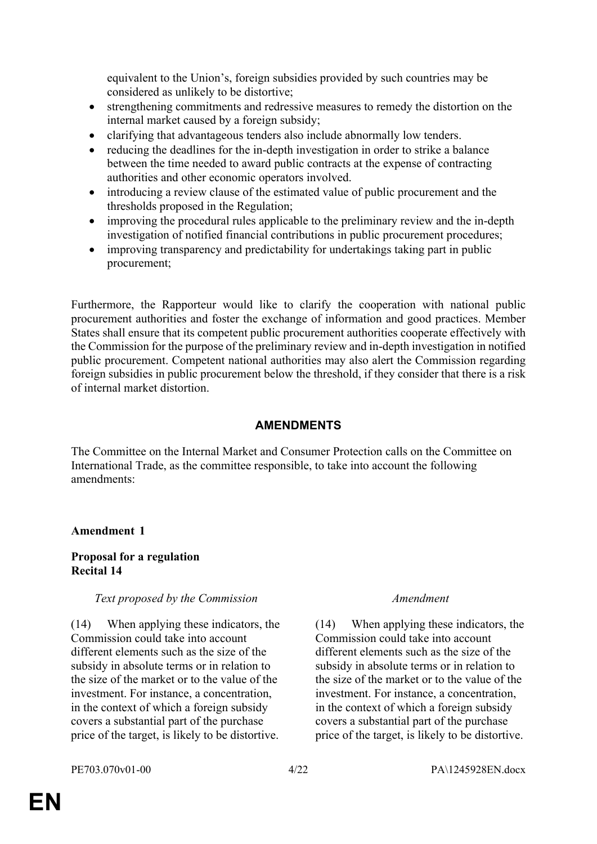equivalent to the Union's, foreign subsidies provided by such countries may be considered as unlikely to be distortive;

- strengthening commitments and redressive measures to remedy the distortion on the internal market caused by a foreign subsidy;
- clarifying that advantageous tenders also include abnormally low tenders.
- reducing the deadlines for the in-depth investigation in order to strike a balance between the time needed to award public contracts at the expense of contracting authorities and other economic operators involved.
- introducing a review clause of the estimated value of public procurement and the thresholds proposed in the Regulation;
- improving the procedural rules applicable to the preliminary review and the in-depth investigation of notified financial contributions in public procurement procedures;
- improving transparency and predictability for undertakings taking part in public procurement;

Furthermore, the Rapporteur would like to clarify the cooperation with national public procurement authorities and foster the exchange of information and good practices. Member States shall ensure that its competent public procurement authorities cooperate effectively with the Commission for the purpose of the preliminary review and in-depth investigation in notified public procurement. Competent national authorities may also alert the Commission regarding foreign subsidies in public procurement below the threshold, if they consider that there is a risk of internal market distortion.

### **AMENDMENTS**

The Committee on the Internal Market and Consumer Protection calls on the Committee on International Trade, as the committee responsible, to take into account the following amendments:

### **Amendment 1**

### **Proposal for a regulation Recital 14**

### *Text proposed by the Commission Amendment*

(14) When applying these indicators, the Commission could take into account different elements such as the size of the subsidy in absolute terms or in relation to the size of the market or to the value of the investment. For instance, a concentration, in the context of which a foreign subsidy covers a substantial part of the purchase price of the target, is likely to be distortive.

(14) When applying these indicators, the Commission could take into account different elements such as the size of the subsidy in absolute terms or in relation to the size of the market or to the value of the investment. For instance, a concentration, in the context of which a foreign subsidy covers a substantial part of the purchase price of the target, is likely to be distortive.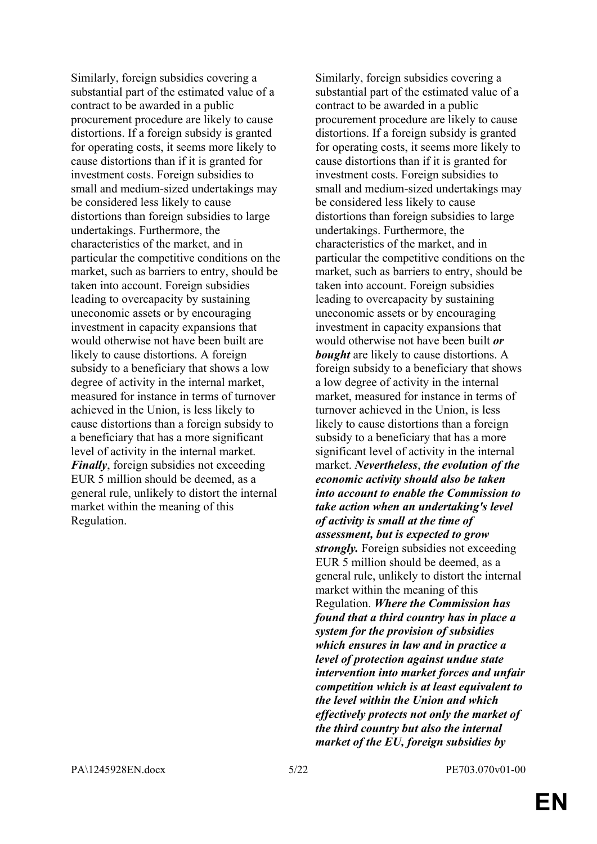Similarly, foreign subsidies covering a substantial part of the estimated value of a contract to be awarded in a public procurement procedure are likely to cause distortions. If a foreign subsidy is granted for operating costs, it seems more likely to cause distortions than if it is granted for investment costs. Foreign subsidies to small and medium-sized undertakings may be considered less likely to cause distortions than foreign subsidies to large undertakings. Furthermore, the characteristics of the market, and in particular the competitive conditions on the market, such as barriers to entry, should be taken into account. Foreign subsidies leading to overcapacity by sustaining uneconomic assets or by encouraging investment in capacity expansions that would otherwise not have been built are likely to cause distortions. A foreign subsidy to a beneficiary that shows a low degree of activity in the internal market, measured for instance in terms of turnover achieved in the Union, is less likely to cause distortions than a foreign subsidy to a beneficiary that has a more significant level of activity in the internal market. *Finally*, foreign subsidies not exceeding EUR 5 million should be deemed, as a general rule, unlikely to distort the internal market within the meaning of this Regulation.

Similarly, foreign subsidies covering a substantial part of the estimated value of a contract to be awarded in a public procurement procedure are likely to cause distortions. If a foreign subsidy is granted for operating costs, it seems more likely to cause distortions than if it is granted for investment costs. Foreign subsidies to small and medium-sized undertakings may be considered less likely to cause distortions than foreign subsidies to large undertakings. Furthermore, the characteristics of the market, and in particular the competitive conditions on the market, such as barriers to entry, should be taken into account. Foreign subsidies leading to overcapacity by sustaining uneconomic assets or by encouraging investment in capacity expansions that would otherwise not have been built *or bought* are likely to cause distortions. A foreign subsidy to a beneficiary that shows a low degree of activity in the internal market, measured for instance in terms of turnover achieved in the Union, is less likely to cause distortions than a foreign subsidy to a beneficiary that has a more significant level of activity in the internal market. *Nevertheless*, *the evolution of the economic activity should also be taken into account to enable the Commission to take action when an undertaking's level of activity is small at the time of assessment, but is expected to grow strongly.* Foreign subsidies not exceeding EUR 5 million should be deemed, as a general rule, unlikely to distort the internal market within the meaning of this Regulation. *Where the Commission has found that a third country has in place a system for the provision of subsidies which ensures in law and in practice a level of protection against undue state intervention into market forces and unfair competition which is at least equivalent to the level within the Union and which effectively protects not only the market of the third country but also the internal market of the EU, foreign subsidies by*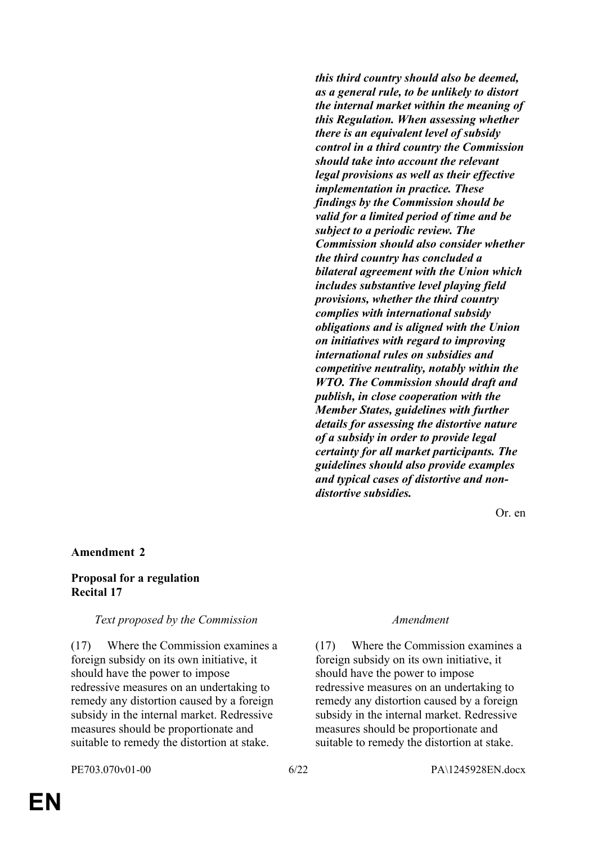*this third country should also be deemed, as a general rule, to be unlikely to distort the internal market within the meaning of this Regulation. When assessing whether there is an equivalent level of subsidy control in a third country the Commission should take into account the relevant legal provisions as well as their effective implementation in practice. These findings by the Commission should be valid for a limited period of time and be subject to a periodic review. The Commission should also consider whether the third country has concluded a bilateral agreement with the Union which includes substantive level playing field provisions, whether the third country complies with international subsidy obligations and is aligned with the Union on initiatives with regard to improving international rules on subsidies and competitive neutrality, notably within the WTO. The Commission should draft and publish, in close cooperation with the Member States, guidelines with further details for assessing the distortive nature of a subsidy in order to provide legal certainty for all market participants. The guidelines should also provide examples and typical cases of distortive and nondistortive subsidies.* 

Or. en

### **Amendment 2**

### **Proposal for a regulation Recital 17**

### *Text proposed by the Commission Amendment*

(17) Where the Commission examines a foreign subsidy on its own initiative, it should have the power to impose redressive measures on an undertaking to remedy any distortion caused by a foreign subsidy in the internal market. Redressive measures should be proportionate and suitable to remedy the distortion at stake.

(17) Where the Commission examines a foreign subsidy on its own initiative, it should have the power to impose redressive measures on an undertaking to remedy any distortion caused by a foreign subsidy in the internal market. Redressive measures should be proportionate and suitable to remedy the distortion at stake.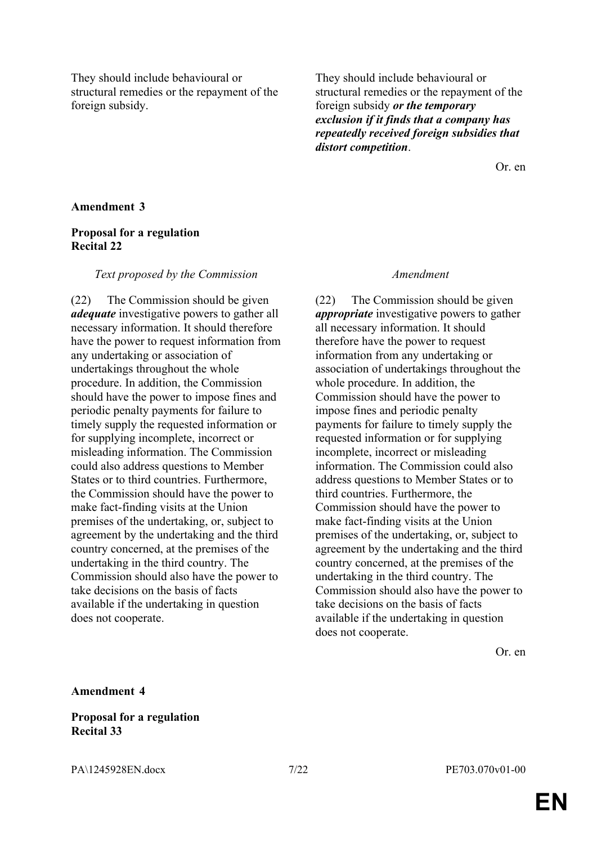They should include behavioural or structural remedies or the repayment of the foreign subsidy.

They should include behavioural or structural remedies or the repayment of the foreign subsidy *or the temporary exclusion if it finds that a company has repeatedly received foreign subsidies that distort competition*.

Or. en

### **Amendment 3**

### **Proposal for a regulation Recital 22**

### *Text proposed by the Commission Amendment*

(22) The Commission should be given *adequate* investigative powers to gather all necessary information. It should therefore have the power to request information from any undertaking or association of undertakings throughout the whole procedure. In addition, the Commission should have the power to impose fines and periodic penalty payments for failure to timely supply the requested information or for supplying incomplete, incorrect or misleading information. The Commission could also address questions to Member States or to third countries. Furthermore, the Commission should have the power to make fact-finding visits at the Union premises of the undertaking, or, subject to agreement by the undertaking and the third country concerned, at the premises of the undertaking in the third country. The Commission should also have the power to take decisions on the basis of facts available if the undertaking in question does not cooperate.

(22) The Commission should be given *appropriate* investigative powers to gather all necessary information. It should therefore have the power to request information from any undertaking or association of undertakings throughout the whole procedure. In addition, the Commission should have the power to impose fines and periodic penalty payments for failure to timely supply the requested information or for supplying incomplete, incorrect or misleading information. The Commission could also address questions to Member States or to third countries. Furthermore, the Commission should have the power to make fact-finding visits at the Union premises of the undertaking, or, subject to agreement by the undertaking and the third country concerned, at the premises of the undertaking in the third country. The Commission should also have the power to take decisions on the basis of facts available if the undertaking in question does not cooperate.

Or. en

### **Amendment 4**

### **Proposal for a regulation Recital 33**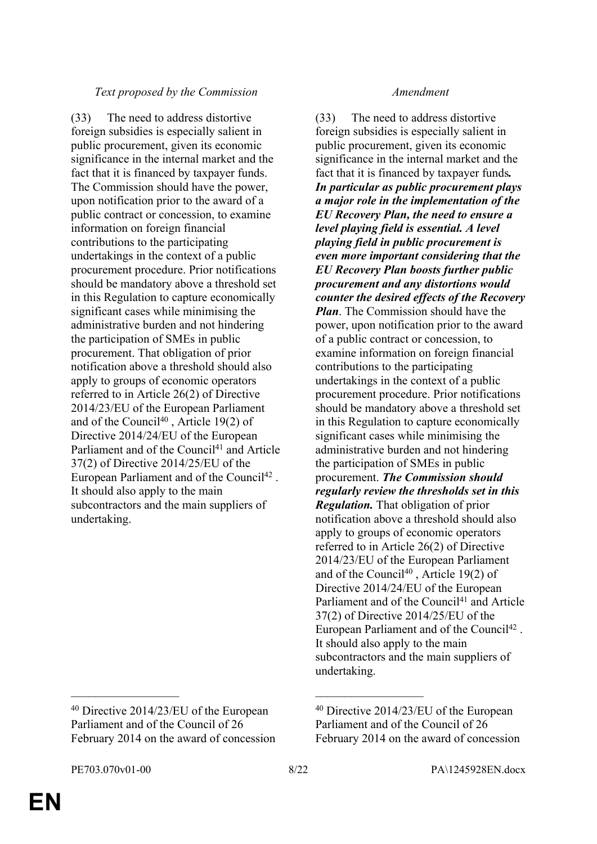### *Text proposed by the Commission Amendment*

(33) The need to address distortive foreign subsidies is especially salient in public procurement, given its economic significance in the internal market and the fact that it is financed by taxpayer funds. The Commission should have the power, upon notification prior to the award of a public contract or concession, to examine information on foreign financial contributions to the participating undertakings in the context of a public procurement procedure. Prior notifications should be mandatory above a threshold set in this Regulation to capture economically significant cases while minimising the administrative burden and not hindering the participation of SMEs in public procurement. That obligation of prior notification above a threshold should also apply to groups of economic operators referred to in Article 26(2) of Directive 2014/23/EU of the European Parliament and of the Council<sup>40</sup>, Article 19(2) of Directive 2014/24/EU of the European Parliament and of the Council<sup>41</sup> and Article 37(2) of Directive 2014/25/EU of the European Parliament and of the Council<sup>42</sup>. It should also apply to the main subcontractors and the main suppliers of undertaking.

(33) The need to address distortive foreign subsidies is especially salient in public procurement, given its economic significance in the internal market and the fact that it is financed by taxpayer funds*. In particular as public procurement plays a major role in the implementation of the EU Recovery Plan, the need to ensure a level playing field is essential. A level playing field in public procurement is even more important considering that the EU Recovery Plan boosts further public procurement and any distortions would counter the desired effects of the Recovery Plan*. The Commission should have the power, upon notification prior to the award of a public contract or concession, to examine information on foreign financial contributions to the participating undertakings in the context of a public procurement procedure. Prior notifications should be mandatory above a threshold set in this Regulation to capture economically significant cases while minimising the administrative burden and not hindering the participation of SMEs in public procurement. *The Commission should regularly review the thresholds set in this Regulation.* That obligation of prior notification above a threshold should also apply to groups of economic operators referred to in Article 26(2) of Directive 2014/23/EU of the European Parliament and of the Council<sup>40</sup>, Article 19(2) of Directive 2014/24/EU of the European Parliament and of the Council<sup>41</sup> and Article 37(2) of Directive 2014/25/EU of the European Parliament and of the Council<sup>42</sup>. It should also apply to the main subcontractors and the main suppliers of undertaking.

 $\mathcal{L}_\text{max}$  , and the contract of the contract of the contract of the contract of the contract of the contract of

<sup>40</sup> Directive 2014/23/EU of the European Parliament and of the Council of 26 February 2014 on the award of concession

<sup>40</sup> Directive 2014/23/EU of the European Parliament and of the Council of 26 February 2014 on the award of concession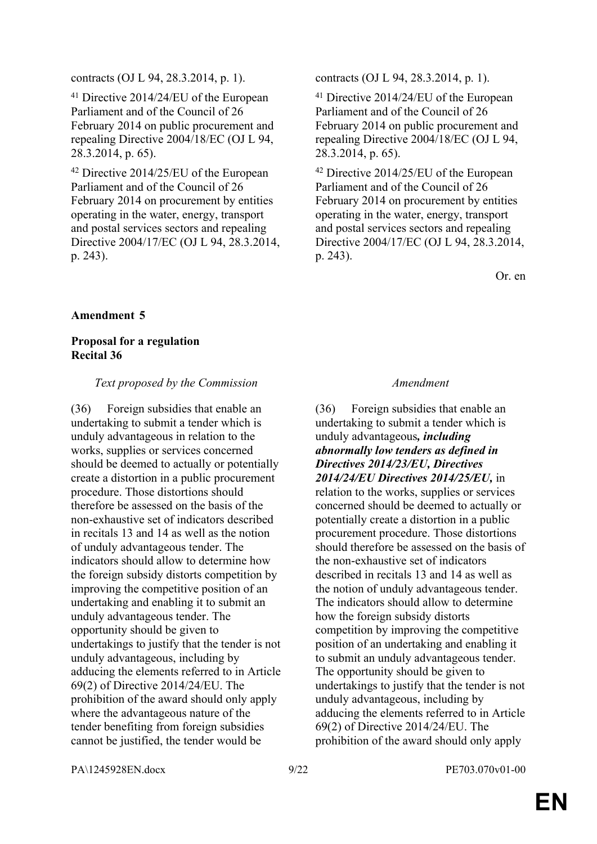contracts (OJ L 94, 28.3.2014, p. 1). contracts (OJ L 94, 28.3.2014, p. 1).

<sup>41</sup> Directive 2014/24/EU of the European Parliament and of the Council of 26 February 2014 on public procurement and repealing Directive 2004/18/EC (OJ L 94, 28.3.2014, p. 65).

<sup>42</sup> Directive 2014/25/EU of the European Parliament and of the Council of 26 February 2014 on procurement by entities operating in the water, energy, transport and postal services sectors and repealing Directive 2004/17/EC (OJ L 94, 28.3.2014, p. 243).

<sup>41</sup> Directive 2014/24/EU of the European Parliament and of the Council of 26 February 2014 on public procurement and repealing Directive 2004/18/EC (OJ L 94, 28.3.2014, p. 65).

<sup>42</sup> Directive 2014/25/EU of the European Parliament and of the Council of 26 February 2014 on procurement by entities operating in the water, energy, transport and postal services sectors and repealing Directive 2004/17/EC (OJ L 94, 28.3.2014, p. 243).

Or. en

### **Amendment 5**

### **Proposal for a regulation Recital 36**

### *Text proposed by the Commission Amendment*

(36) Foreign subsidies that enable an undertaking to submit a tender which is unduly advantageous in relation to the works, supplies or services concerned should be deemed to actually or potentially create a distortion in a public procurement procedure. Those distortions should therefore be assessed on the basis of the non-exhaustive set of indicators described in recitals 13 and 14 as well as the notion of unduly advantageous tender. The indicators should allow to determine how the foreign subsidy distorts competition by improving the competitive position of an undertaking and enabling it to submit an unduly advantageous tender. The opportunity should be given to undertakings to justify that the tender is not unduly advantageous, including by adducing the elements referred to in Article 69(2) of Directive 2014/24/EU. The prohibition of the award should only apply where the advantageous nature of the tender benefiting from foreign subsidies cannot be justified, the tender would be

(36) Foreign subsidies that enable an undertaking to submit a tender which is unduly advantageous*, including abnormally low tenders as defined in Directives 2014/23/EU, Directives 2014/24/EU Directives 2014/25/EU,* in relation to the works, supplies or services concerned should be deemed to actually or potentially create a distortion in a public procurement procedure. Those distortions should therefore be assessed on the basis of the non-exhaustive set of indicators described in recitals 13 and 14 as well as the notion of unduly advantageous tender. The indicators should allow to determine how the foreign subsidy distorts competition by improving the competitive position of an undertaking and enabling it to submit an unduly advantageous tender. The opportunity should be given to undertakings to justify that the tender is not unduly advantageous, including by adducing the elements referred to in Article 69(2) of Directive 2014/24/EU. The prohibition of the award should only apply

PA\1245928EN.docx 9/22 PE703.070v01-00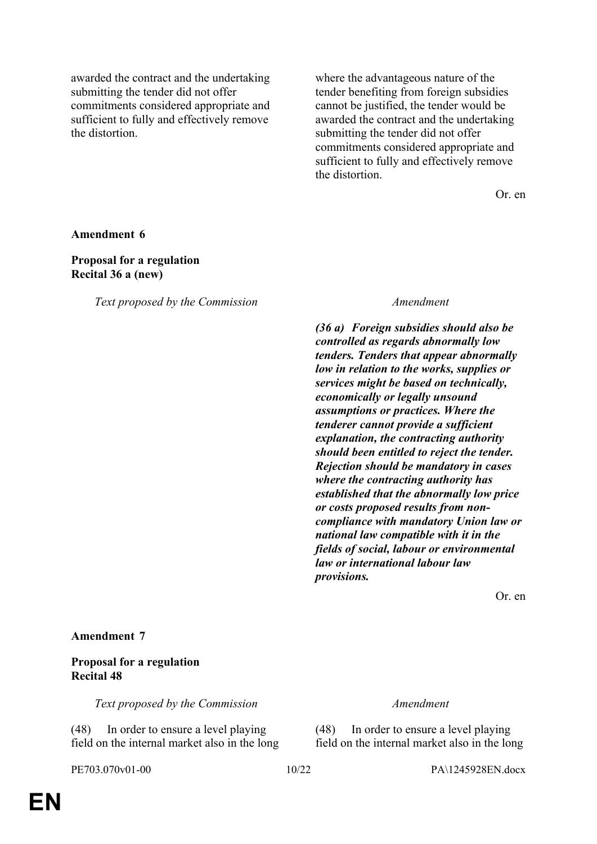awarded the contract and the undertaking submitting the tender did not offer commitments considered appropriate and sufficient to fully and effectively remove the distortion.

where the advantageous nature of the tender benefiting from foreign subsidies cannot be justified, the tender would be awarded the contract and the undertaking submitting the tender did not offer commitments considered appropriate and sufficient to fully and effectively remove the distortion.

Or. en

**Amendment 6**

### **Proposal for a regulation Recital 36 a (new)**

*Text proposed by the Commission Amendment*

*(36 a) Foreign subsidies should also be controlled as regards abnormally low tenders. Tenders that appear abnormally low in relation to the works, supplies or services might be based on technically, economically or legally unsound assumptions or practices. Where the tenderer cannot provide a sufficient explanation, the contracting authority should been entitled to reject the tender. Rejection should be mandatory in cases where the contracting authority has established that the abnormally low price or costs proposed results from noncompliance with mandatory Union law or national law compatible with it in the fields of social, labour or environmental law or international labour law provisions.*

Or. en

### **Amendment 7**

### **Proposal for a regulation Recital 48**

*Text proposed by the Commission Amendment*

(48) In order to ensure a level playing field on the internal market also in the long

(48) In order to ensure a level playing field on the internal market also in the long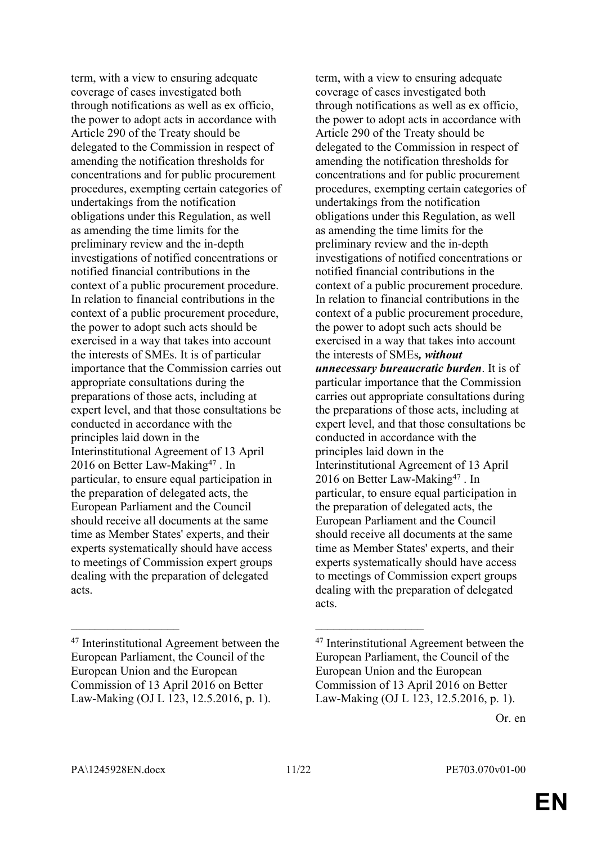term, with a view to ensuring adequate coverage of cases investigated both through notifications as well as ex officio, the power to adopt acts in accordance with Article 290 of the Treaty should be delegated to the Commission in respect of amending the notification thresholds for concentrations and for public procurement procedures, exempting certain categories of undertakings from the notification obligations under this Regulation, as well as amending the time limits for the preliminary review and the in-depth investigations of notified concentrations or notified financial contributions in the context of a public procurement procedure. In relation to financial contributions in the context of a public procurement procedure, the power to adopt such acts should be exercised in a way that takes into account the interests of SMEs. It is of particular importance that the Commission carries out appropriate consultations during the preparations of those acts, including at expert level, and that those consultations be conducted in accordance with the principles laid down in the Interinstitutional Agreement of 13 April 2016 on Better Law-Making<sup>47</sup>. In particular, to ensure equal participation in the preparation of delegated acts, the European Parliament and the Council should receive all documents at the same time as Member States' experts, and their experts systematically should have access to meetings of Commission expert groups dealing with the preparation of delegated acts.

term, with a view to ensuring adequate coverage of cases investigated both through notifications as well as ex officio, the power to adopt acts in accordance with Article 290 of the Treaty should be delegated to the Commission in respect of amending the notification thresholds for concentrations and for public procurement procedures, exempting certain categories of undertakings from the notification obligations under this Regulation, as well as amending the time limits for the preliminary review and the in-depth investigations of notified concentrations or notified financial contributions in the context of a public procurement procedure. In relation to financial contributions in the context of a public procurement procedure, the power to adopt such acts should be exercised in a way that takes into account the interests of SMEs*, without unnecessary bureaucratic burden*. It is of particular importance that the Commission carries out appropriate consultations during the preparations of those acts, including at expert level, and that those consultations be conducted in accordance with the principles laid down in the Interinstitutional Agreement of 13 April 2016 on Better Law-Making<sup>47</sup>. In particular, to ensure equal participation in the preparation of delegated acts, the European Parliament and the Council should receive all documents at the same time as Member States' experts, and their experts systematically should have access to meetings of Commission expert groups dealing with the preparation of delegated acts.

 $\mathcal{L}_\text{max}$  and  $\mathcal{L}_\text{max}$  and  $\mathcal{L}_\text{max}$  and  $\mathcal{L}_\text{max}$ 

<sup>47</sup> Interinstitutional Agreement between the European Parliament, the Council of the European Union and the European Commission of 13 April 2016 on Better Law-Making (OJ L 123, 12.5.2016, p. 1).

<sup>47</sup> Interinstitutional Agreement between the European Parliament, the Council of the European Union and the European Commission of 13 April 2016 on Better Law-Making (OJ L 123, 12.5.2016, p. 1).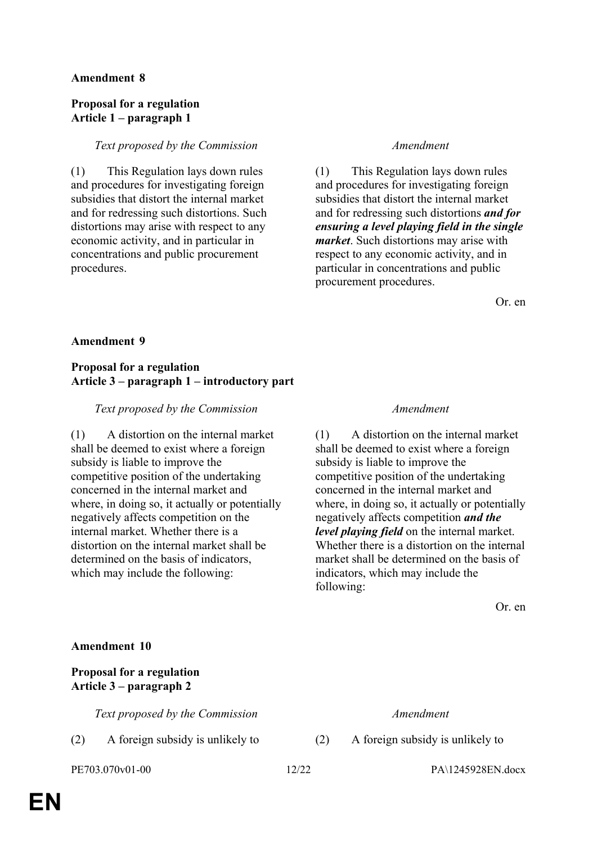### **Amendment 8**

### **Proposal for a regulation Article 1 – paragraph 1**

### *Text proposed by the Commission Amendment*

(1) This Regulation lays down rules and procedures for investigating foreign subsidies that distort the internal market and for redressing such distortions. Such distortions may arise with respect to any economic activity, and in particular in concentrations and public procurement procedures.

(1) This Regulation lays down rules and procedures for investigating foreign subsidies that distort the internal market and for redressing such distortions *and for ensuring a level playing field in the single market*. Such distortions may arise with respect to any economic activity, and in particular in concentrations and public procurement procedures.

Or. en

### **Amendment 9**

### **Proposal for a regulation Article 3 – paragraph 1 – introductory part**

### *Text proposed by the Commission Amendment*

(1) A distortion on the internal market shall be deemed to exist where a foreign subsidy is liable to improve the competitive position of the undertaking concerned in the internal market and where, in doing so, it actually or potentially negatively affects competition on the internal market. Whether there is a distortion on the internal market shall be determined on the basis of indicators, which may include the following:

(1) A distortion on the internal market shall be deemed to exist where a foreign subsidy is liable to improve the competitive position of the undertaking concerned in the internal market and where, in doing so, it actually or potentially negatively affects competition *and the level playing field* on the internal market. Whether there is a distortion on the internal market shall be determined on the basis of indicators, which may include the following:

Or. en

### **Amendment 10**

### **Proposal for a regulation Article 3 – paragraph 2**

*Text proposed by the Commission Amendment*

(2) A foreign subsidy is unlikely to (2) A foreign subsidy is unlikely to

PE703.070v01-00 12/22 PA\1245928EN.docx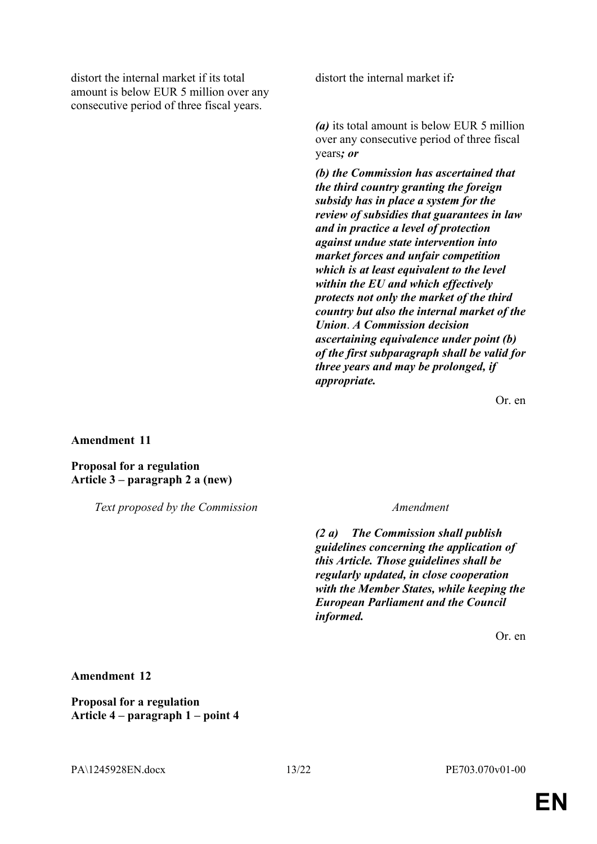distort the internal market if its total amount is below EUR 5 million over any consecutive period of three fiscal years.

distort the internal market if*:*

*(a)* its total amount is below EUR 5 million over any consecutive period of three fiscal years*; or* 

*(b) the Commission has ascertained that the third country granting the foreign subsidy has in place a system for the review of subsidies that guarantees in law and in practice a level of protection against undue state intervention into market forces and unfair competition which is at least equivalent to the level within the EU and which effectively protects not only the market of the third country but also the internal market of the Union*. *A Commission decision ascertaining equivalence under point (b) of the first subparagraph shall be valid for three years and may be prolonged, if appropriate.* 

Or. en

**Amendment 11**

**Proposal for a regulation Article 3 – paragraph 2 a (new)**

*Text proposed by the Commission Amendment*

*(2 a) The Commission shall publish guidelines concerning the application of this Article. Those guidelines shall be regularly updated, in close cooperation with the Member States, while keeping the European Parliament and the Council informed.*

Or. en

**Amendment 12**

**Proposal for a regulation Article 4 – paragraph 1 – point 4**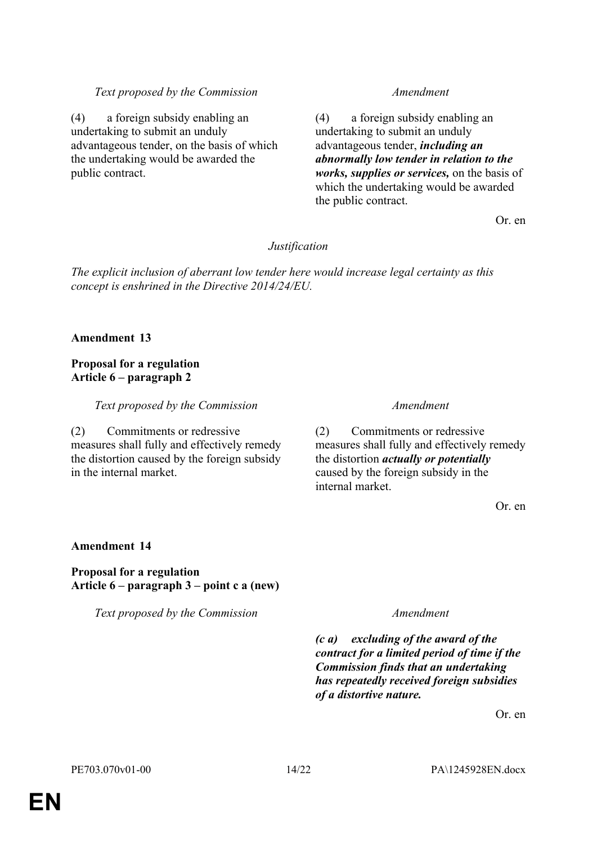### *Text proposed by the Commission Amendment*

(4) a foreign subsidy enabling an undertaking to submit an unduly advantageous tender, on the basis of which the undertaking would be awarded the public contract.

(4) a foreign subsidy enabling an undertaking to submit an unduly advantageous tender, *including an abnormally low tender in relation to the works, supplies or services,* on the basis of which the undertaking would be awarded the public contract.

Or. en

### *Justification*

*The explicit inclusion of aberrant low tender here would increase legal certainty as this concept is enshrined in the Directive 2014/24/EU.*

### **Amendment 13**

### **Proposal for a regulation Article 6 – paragraph 2**

*Text proposed by the Commission Amendment*

(2) Commitments or redressive measures shall fully and effectively remedy the distortion caused by the foreign subsidy in the internal market.

(2) Commitments or redressive measures shall fully and effectively remedy the distortion *actually or potentially* caused by the foreign subsidy in the internal market.

Or. en

### **Amendment 14**

**Proposal for a regulation Article 6 – paragraph 3 – point c a (new)**

*Text proposed by the Commission Amendment*

*(c a) excluding of the award of the contract for a limited period of time if the Commission finds that an undertaking has repeatedly received foreign subsidies of a distortive nature.*

Or. en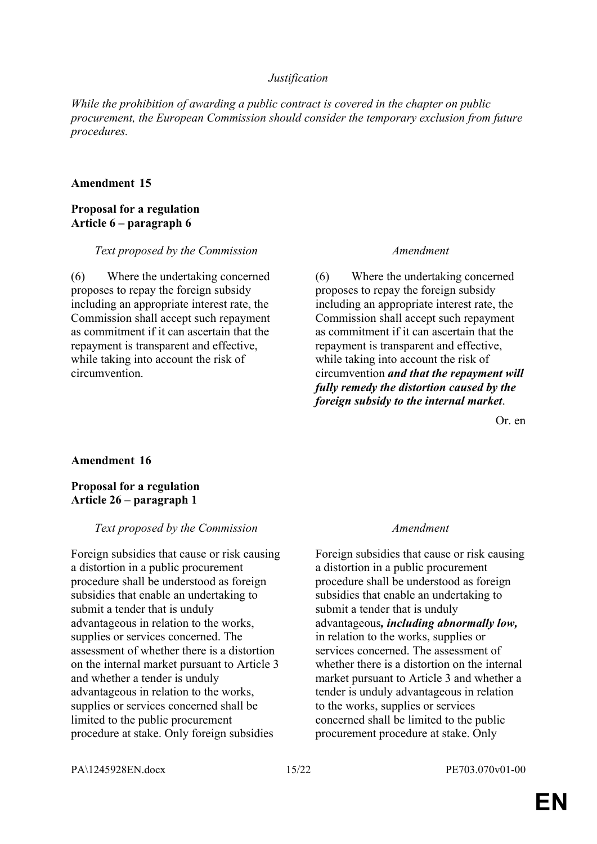### *Justification*

*While the prohibition of awarding a public contract is covered in the chapter on public procurement, the European Commission should consider the temporary exclusion from future procedures.*

### **Amendment 15**

### **Proposal for a regulation Article 6 – paragraph 6**

### *Text proposed by the Commission Amendment*

(6) Where the undertaking concerned proposes to repay the foreign subsidy including an appropriate interest rate, the Commission shall accept such repayment as commitment if it can ascertain that the repayment is transparent and effective, while taking into account the risk of circumvention.

(6) Where the undertaking concerned proposes to repay the foreign subsidy including an appropriate interest rate, the Commission shall accept such repayment as commitment if it can ascertain that the repayment is transparent and effective, while taking into account the risk of circumvention *and that the repayment will fully remedy the distortion caused by the foreign subsidy to the internal market*.

Or. en

### **Amendment 16**

### **Proposal for a regulation Article 26 – paragraph 1**

### *Text proposed by the Commission Amendment*

Foreign subsidies that cause or risk causing a distortion in a public procurement procedure shall be understood as foreign subsidies that enable an undertaking to submit a tender that is unduly advantageous in relation to the works, supplies or services concerned. The assessment of whether there is a distortion on the internal market pursuant to Article 3 and whether a tender is unduly advantageous in relation to the works, supplies or services concerned shall be limited to the public procurement procedure at stake. Only foreign subsidies

Foreign subsidies that cause or risk causing a distortion in a public procurement procedure shall be understood as foreign subsidies that enable an undertaking to submit a tender that is unduly advantageous*, including abnormally low,* in relation to the works, supplies or services concerned. The assessment of whether there is a distortion on the internal market pursuant to Article 3 and whether a tender is unduly advantageous in relation to the works, supplies or services concerned shall be limited to the public procurement procedure at stake. Only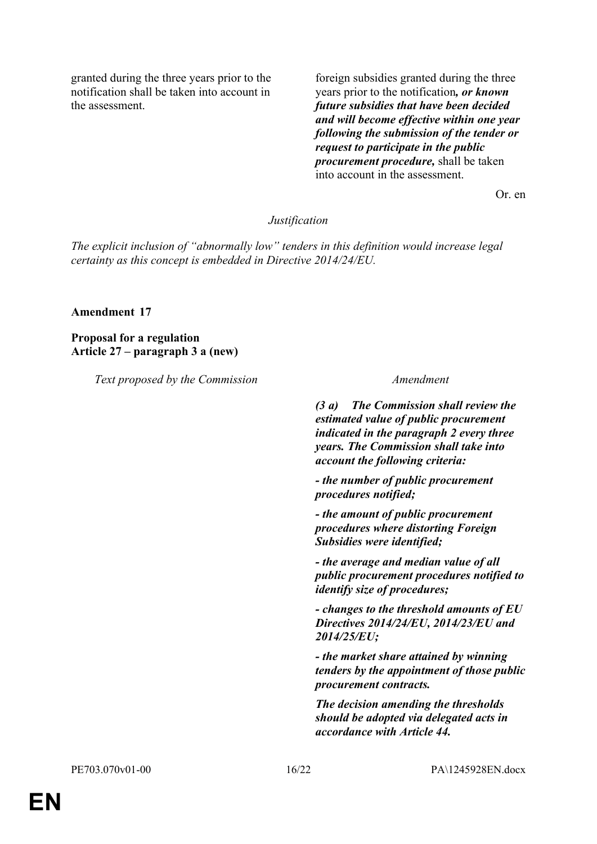granted during the three years prior to the notification shall be taken into account in the assessment.

foreign subsidies granted during the three years prior to the notification*, or known future subsidies that have been decided and will become effective within one year following the submission of the tender or request to participate in the public procurement procedure,* shall be taken into account in the assessment.

Or. en

### *Justification*

*The explicit inclusion of "abnormally low" tenders in this definition would increase legal certainty as this concept is embedded in Directive 2014/24/EU.*

### **Amendment 17**

**Proposal for a regulation Article 27 – paragraph 3 a (new)**

*Text proposed by the Commission Amendment*

*(3 a) The Commission shall review the estimated value of public procurement indicated in the paragraph 2 every three years. The Commission shall take into account the following criteria:*

*- the number of public procurement procedures notified;*

*- the amount of public procurement procedures where distorting Foreign Subsidies were identified;*

*- the average and median value of all public procurement procedures notified to identify size of procedures;*

*- changes to the threshold amounts of EU Directives 2014/24/EU, 2014/23/EU and 2014/25/EU;*

*- the market share attained by winning tenders by the appointment of those public procurement contracts.*

*The decision amending the thresholds should be adopted via delegated acts in accordance with Article 44.*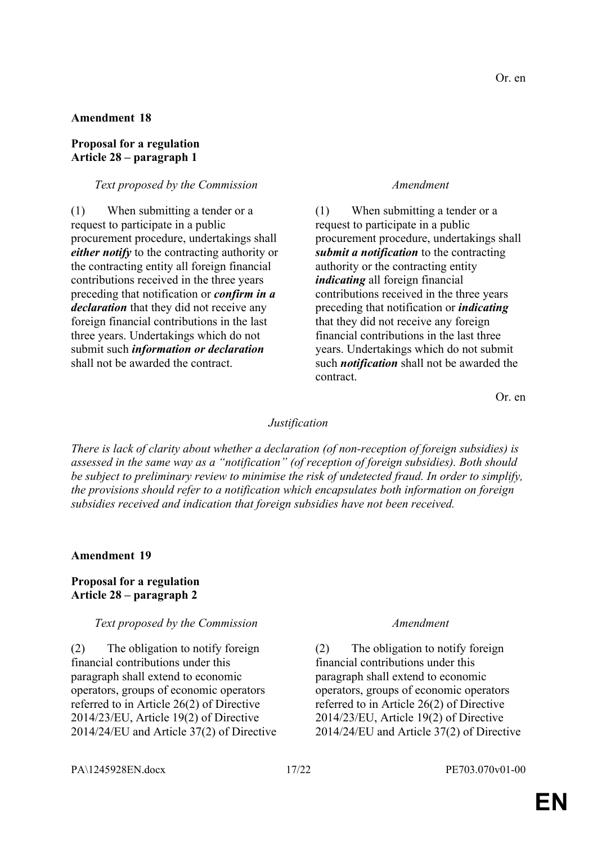### Or. en

### **Amendment 18**

### **Proposal for a regulation Article 28 – paragraph 1**

### *Text proposed by the Commission Amendment*

(1) When submitting a tender or a request to participate in a public procurement procedure, undertakings shall *either notify* to the contracting authority or the contracting entity all foreign financial contributions received in the three years preceding that notification or *confirm in a declaration* that they did not receive any foreign financial contributions in the last three years. Undertakings which do not submit such *information or declaration* shall not be awarded the contract.

(1) When submitting a tender or a request to participate in a public procurement procedure, undertakings shall *submit a notification* to the contracting authority or the contracting entity *indicating* all foreign financial contributions received in the three years preceding that notification or *indicating* that they did not receive any foreign financial contributions in the last three years. Undertakings which do not submit such *notification* shall not be awarded the contract.

Or. en

### *Justification*

*There is lack of clarity about whether a declaration (of non-reception of foreign subsidies) is assessed in the same way as a "notification" (of reception of foreign subsidies). Both should be subject to preliminary review to minimise the risk of undetected fraud. In order to simplify, the provisions should refer to a notification which encapsulates both information on foreign subsidies received and indication that foreign subsidies have not been received.*

### **Amendment 19**

### **Proposal for a regulation Article 28 – paragraph 2**

### *Text proposed by the Commission Amendment*

(2) The obligation to notify foreign financial contributions under this paragraph shall extend to economic operators, groups of economic operators referred to in Article 26(2) of Directive 2014/23/EU, Article 19(2) of Directive 2014/24/EU and Article 37(2) of Directive

(2) The obligation to notify foreign financial contributions under this paragraph shall extend to economic operators, groups of economic operators referred to in Article 26(2) of Directive 2014/23/EU, Article 19(2) of Directive 2014/24/EU and Article 37(2) of Directive

PA\1245928EN.docx 17/22 PE703.070v01-00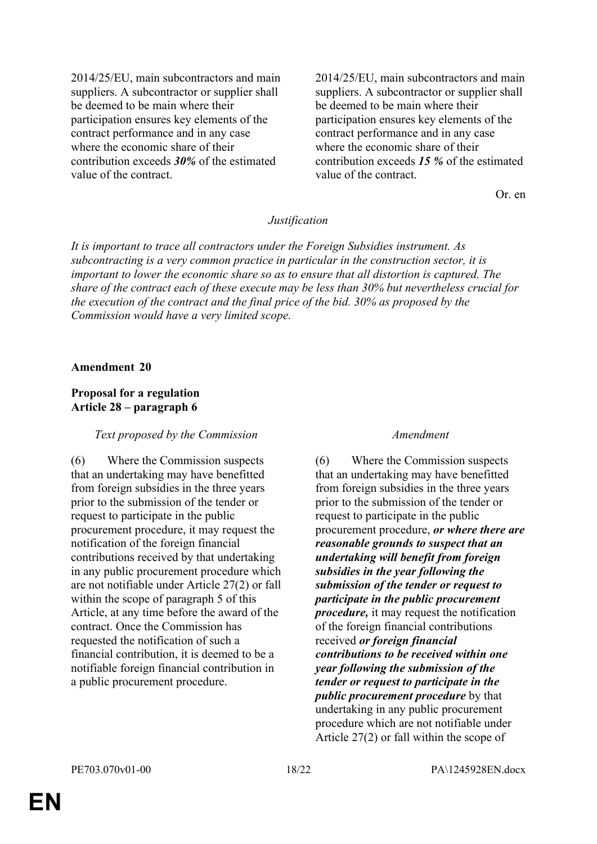2014/25/EU, main subcontractors and main suppliers. A subcontractor or supplier shall be deemed to be main where their participation ensures key elements of the contract performance and in any case where the economic share of their contribution exceeds *30%* of the estimated value of the contract.

2014/25/EU, main subcontractors and main suppliers. A subcontractor or supplier shall be deemed to be main where their participation ensures key elements of the contract performance and in any case where the economic share of their contribution exceeds *15 %* of the estimated value of the contract.

Or. en

### *Justification*

*It is important to trace all contractors under the Foreign Subsidies instrument. As subcontracting is a very common practice in particular in the construction sector, it is important to lower the economic share so as to ensure that all distortion is captured. The share of the contract each of these execute may be less than 30% but nevertheless crucial for the execution of the contract and the final price of the bid. 30% as proposed by the Commission would have a very limited scope.*

### **Amendment 20**

### **Proposal for a regulation Article 28 – paragraph 6**

### *Text proposed by the Commission Amendment*

(6) Where the Commission suspects that an undertaking may have benefitted from foreign subsidies in the three years prior to the submission of the tender or request to participate in the public procurement procedure, it may request the notification of the foreign financial contributions received by that undertaking in any public procurement procedure which are not notifiable under Article 27(2) or fall within the scope of paragraph 5 of this Article, at any time before the award of the contract. Once the Commission has requested the notification of such a financial contribution, it is deemed to be a notifiable foreign financial contribution in a public procurement procedure.

(6) Where the Commission suspects that an undertaking may have benefitted from foreign subsidies in the three years prior to the submission of the tender or request to participate in the public procurement procedure, *or where there are reasonable grounds to suspect that an undertaking will benefit from foreign subsidies in the year following the submission of the tender or request to participate in the public procurement procedure,* it may request the notification of the foreign financial contributions received *or foreign financial contributions to be received within one year following the submission of the tender or request to participate in the public procurement procedure* by that undertaking in any public procurement procedure which are not notifiable under Article 27(2) or fall within the scope of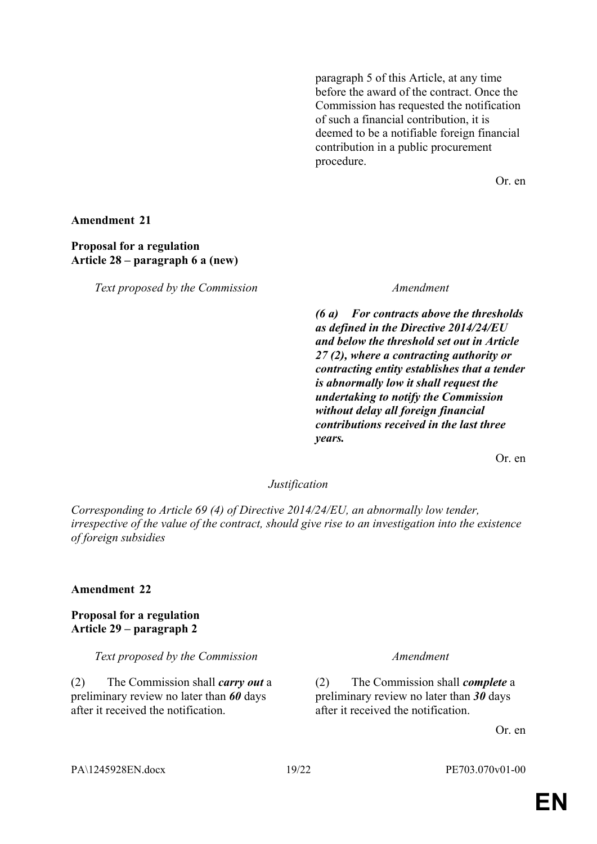paragraph 5 of this Article, at any time before the award of the contract. Once the Commission has requested the notification of such a financial contribution, it is deemed to be a notifiable foreign financial contribution in a public procurement procedure.

Or. en

**Amendment 21**

### **Proposal for a regulation Article 28 – paragraph 6 a (new)**

*Text proposed by the Commission Amendment*

*(6 a) For contracts above the thresholds as defined in the Directive 2014/24/EU and below the threshold set out in Article 27 (2), where a contracting authority or contracting entity establishes that a tender is abnormally low it shall request the undertaking to notify the Commission without delay all foreign financial contributions received in the last three years.*

Or. en

### *Justification*

*Corresponding to Article 69 (4) of Directive 2014/24/EU, an abnormally low tender, irrespective of the value of the contract, should give rise to an investigation into the existence of foreign subsidies*

### **Amendment 22**

**Proposal for a regulation Article 29 – paragraph 2**

*Text proposed by the Commission Amendment*

(2) The Commission shall *carry out* a preliminary review no later than *60* days after it received the notification.

(2) The Commission shall *complete* a preliminary review no later than *30* days after it received the notification.

Or. en

### PA\1245928EN.docx 19/22 PE703.070v01-00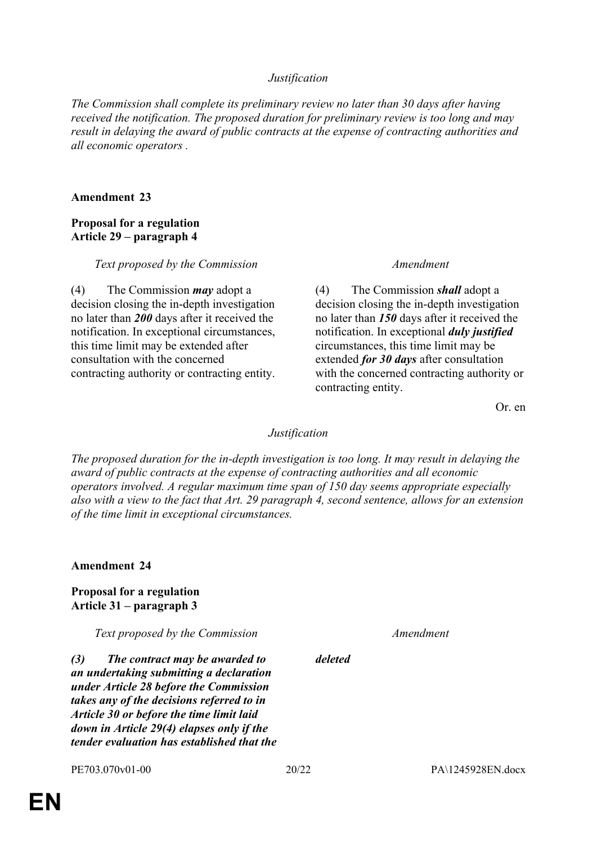### *Justification*

*The Commission shall complete its preliminary review no later than 30 days after having received the notification. The proposed duration for preliminary review is too long and may result in delaying the award of public contracts at the expense of contracting authorities and all economic operators .*

### **Amendment 23**

### **Proposal for a regulation Article 29 – paragraph 4**

### *Text proposed by the Commission Amendment*

(4) The Commission *may* adopt a decision closing the in-depth investigation no later than *200* days after it received the notification. In exceptional circumstances, this time limit may be extended after consultation with the concerned contracting authority or contracting entity.

(4) The Commission *shall* adopt a decision closing the in-depth investigation no later than *150* days after it received the notification. In exceptional *duly justified* circumstances, this time limit may be extended *for 30 days* after consultation with the concerned contracting authority or contracting entity.

Or. en

### *Justification*

*The proposed duration for the in-depth investigation is too long. It may result in delaying the award of public contracts at the expense of contracting authorities and all economic operators involved. A regular maximum time span of 150 day seems appropriate especially also with a view to the fact that Art. 29 paragraph 4, second sentence, allows for an extension of the time limit in exceptional circumstances.*

**Amendment 24**

### **Proposal for a regulation Article 31 – paragraph 3**

*Text proposed by the Commission Amendment*

*(3) The contract may be awarded to an undertaking submitting a declaration under Article 28 before the Commission takes any of the decisions referred to in Article 30 or before the time limit laid down in Article 29(4) elapses only if the tender evaluation has established that the* 

*deleted*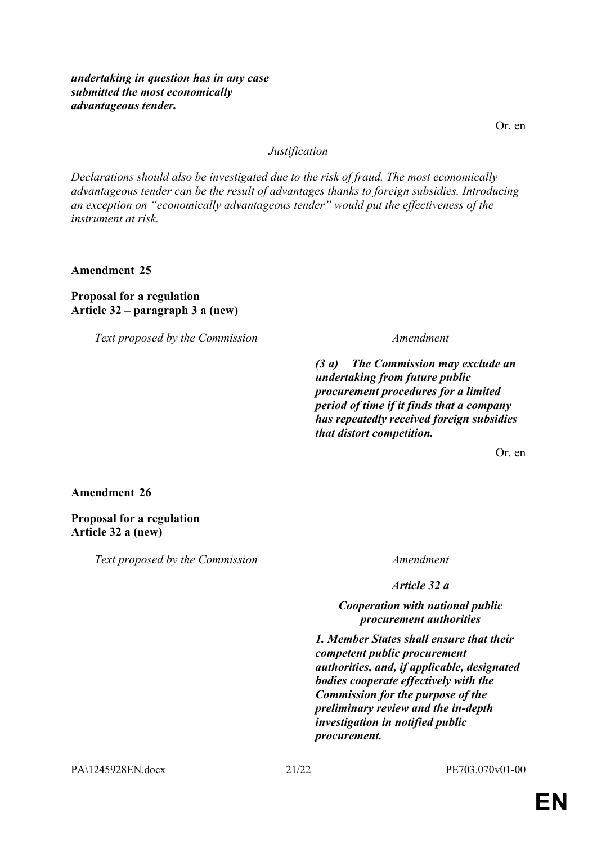*undertaking in question has in any case submitted the most economically advantageous tender.*

Or. en

### *Justification*

*Declarations should also be investigated due to the risk of fraud. The most economically advantageous tender can be the result of advantages thanks to foreign subsidies. Introducing an exception on "economically advantageous tender" would put the effectiveness of the instrument at risk.*

**Amendment 25**

**Proposal for a regulation Article 32 – paragraph 3 a (new)**

*Text proposed by the Commission Amendment*

*(3 a) The Commission may exclude an undertaking from future public procurement procedures for a limited period of time if it finds that a company has repeatedly received foreign subsidies that distort competition.*

Or. en

**Amendment 26**

**Proposal for a regulation Article 32 a (new)**

*Text proposed by the Commission Amendment*

*Article 32 a*

### *Cooperation with national public procurement authorities*

*1. Member States shall ensure that their competent public procurement authorities, and, if applicable, designated bodies cooperate effectively with the Commission for the purpose of the preliminary review and the in-depth investigation in notified public procurement.*

PA\1245928EN.docx 21/22 PE703.070v01-00